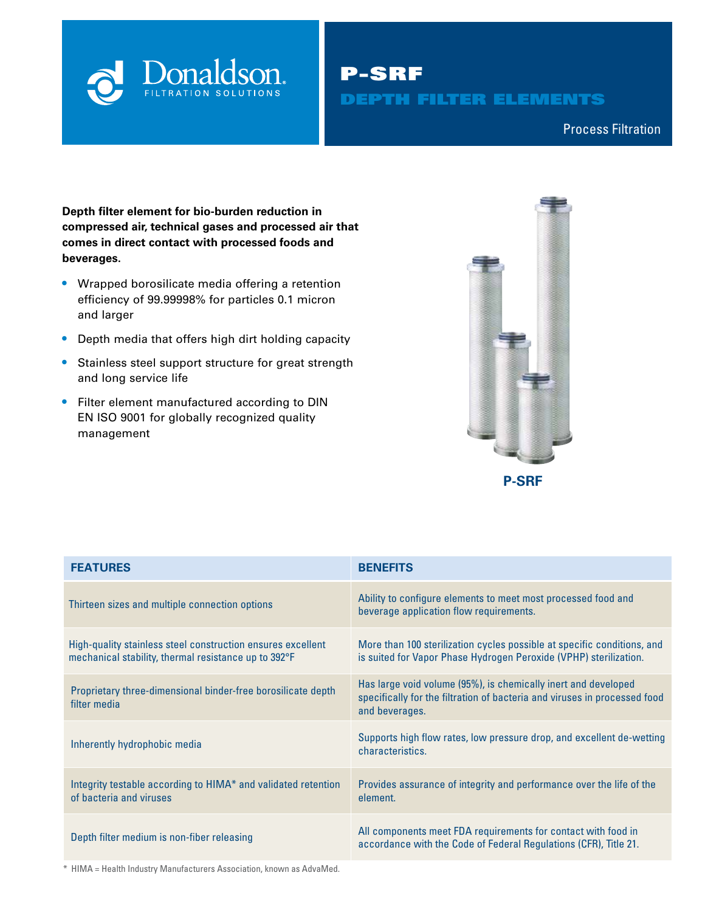

P-SRF DEPTH FILTER ELEMENTS

Compressed Air & Process Filtration

**Depth filter element for bio-burden reduction in compressed air, technical gases and processed air that comes in direct contact with processed foods and beverages.** 

- **•** Wrapped borosilicate media offering a retention efficiency of 99.99998% for particles 0.1 micron and larger
- **•** Depth media that offers high dirt holding capacity
- **•** Stainless steel support structure for great strength and long service life
- **•** Filter element manufactured according to DIN EN ISO 9001 for globally recognized quality management



| <b>FEATURES</b>                                                                                                     | <b>BENEFITS</b>                                                                                                                                               |
|---------------------------------------------------------------------------------------------------------------------|---------------------------------------------------------------------------------------------------------------------------------------------------------------|
| Thirteen sizes and multiple connection options                                                                      | Ability to configure elements to meet most processed food and<br>beverage application flow requirements.                                                      |
| High-quality stainless steel construction ensures excellent<br>mechanical stability, thermal resistance up to 392°F | More than 100 sterilization cycles possible at specific conditions, and<br>is suited for Vapor Phase Hydrogen Peroxide (VPHP) sterilization.                  |
| Proprietary three-dimensional binder-free borosilicate depth<br>filter media                                        | Has large void volume (95%), is chemically inert and developed<br>specifically for the filtration of bacteria and viruses in processed food<br>and beverages. |
| Inherently hydrophobic media                                                                                        | Supports high flow rates, low pressure drop, and excellent de-wetting<br>characteristics.                                                                     |
| Integrity testable according to HIMA* and validated retention<br>of bacteria and viruses                            | Provides assurance of integrity and performance over the life of the<br>element.                                                                              |
| Depth filter medium is non-fiber releasing                                                                          | All components meet FDA requirements for contact with food in<br>accordance with the Code of Federal Regulations (CFR), Title 21.                             |

\* HIMA = Health Industry Manufacturers Association, known as AdvaMed.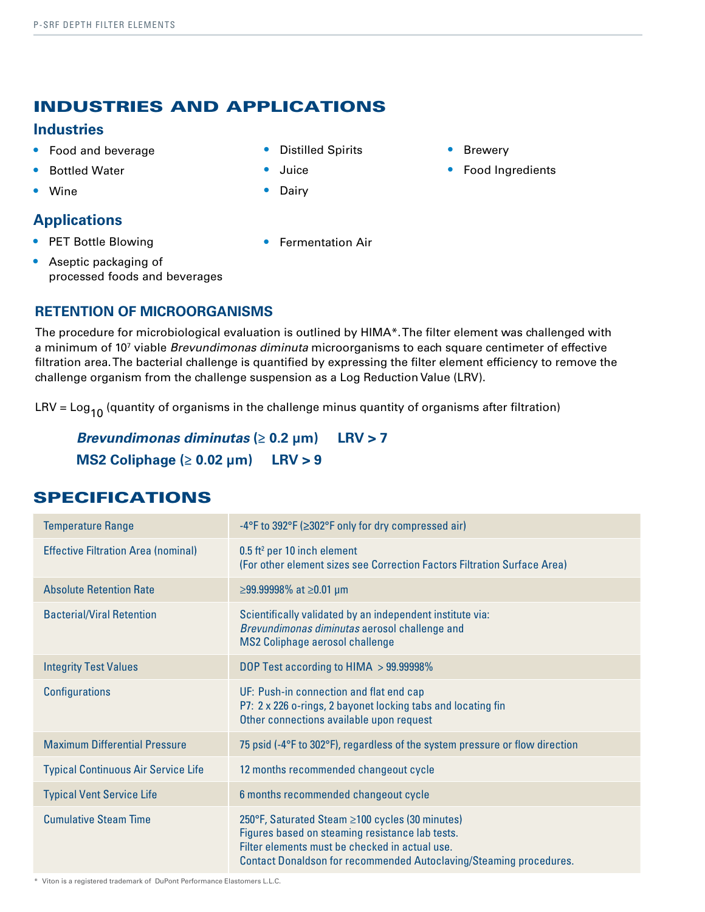# INDUSTRIES AND APPLICATIONS

### **Industries**

- **•** Food and beverage
- **•** Bottled Water
- **•** Wine

## **Applications**

- **•** PET Bottle Blowing
- **•** Aseptic packaging of processed foods and beverages
- **RETENTION OF MICROORGANISMS**

The procedure for microbiological evaluation is outlined by HIMA\*. The filter element was challenged with a minimum of 107 viable *Brevundimonas diminuta* microorganisms to each square centimeter of effective filtration area. The bacterial challenge is quantified by expressing the filter element efficiency to remove the challenge organism from the challenge suspension as a Log Reduction Value (LRV).

LRV =  $\text{Log}_{10}$  (quantity of organisms in the challenge minus quantity of organisms after filtration)

*Brevundimonas diminutas* **(≥ 0.2 μm) LRV > 7 MS2 Coliphage (≥ 0.02 μm) LRV > 9**

## SPECIFICATIONS

| <b>Temperature Range</b>                   | -4°F to 392°F (≥302°F only for dry compressed air)                                                                                                                                                                                |  |
|--------------------------------------------|-----------------------------------------------------------------------------------------------------------------------------------------------------------------------------------------------------------------------------------|--|
| <b>Effective Filtration Area (nominal)</b> | $0.5$ ft <sup>2</sup> per 10 inch element<br>(For other element sizes see Correction Factors Filtration Surface Area)                                                                                                             |  |
| <b>Absolute Retention Rate</b>             | $≥99.99998\%$ at $≥0.01$ µm                                                                                                                                                                                                       |  |
| <b>Bacterial/Viral Retention</b>           | Scientifically validated by an independent institute via:<br>Brevundimonas diminutas aerosol challenge and<br><b>MS2 Coliphage aerosol challenge</b>                                                                              |  |
| <b>Integrity Test Values</b>               | DOP Test according to HIMA > 99.99998%                                                                                                                                                                                            |  |
| <b>Configurations</b>                      | UF: Push-in connection and flat end cap<br>P7: 2 x 226 o-rings, 2 bayonet locking tabs and locating fin<br>Other connections available upon request                                                                               |  |
| <b>Maximum Differential Pressure</b>       | 75 psid (-4°F to 302°F), regardless of the system pressure or flow direction                                                                                                                                                      |  |
| <b>Typical Continuous Air Service Life</b> | 12 months recommended changeout cycle                                                                                                                                                                                             |  |
| <b>Typical Vent Service Life</b>           | 6 months recommended changeout cycle                                                                                                                                                                                              |  |
| <b>Cumulative Steam Time</b>               | 250°F, Saturated Steam ≥100 cycles (30 minutes)<br>Figures based on steaming resistance lab tests.<br>Filter elements must be checked in actual use.<br><b>Contact Donaldson for recommended Autoclaving/Steaming procedures.</b> |  |

**•** Distilled Spirits

**•** Fermentation Air

- **•** Juice
- **•** Dairy
- **•** Brewery
- **•** Food Ingredients

\* Viton is a registered trademark of DuPont Performance Elastomers L.L.C.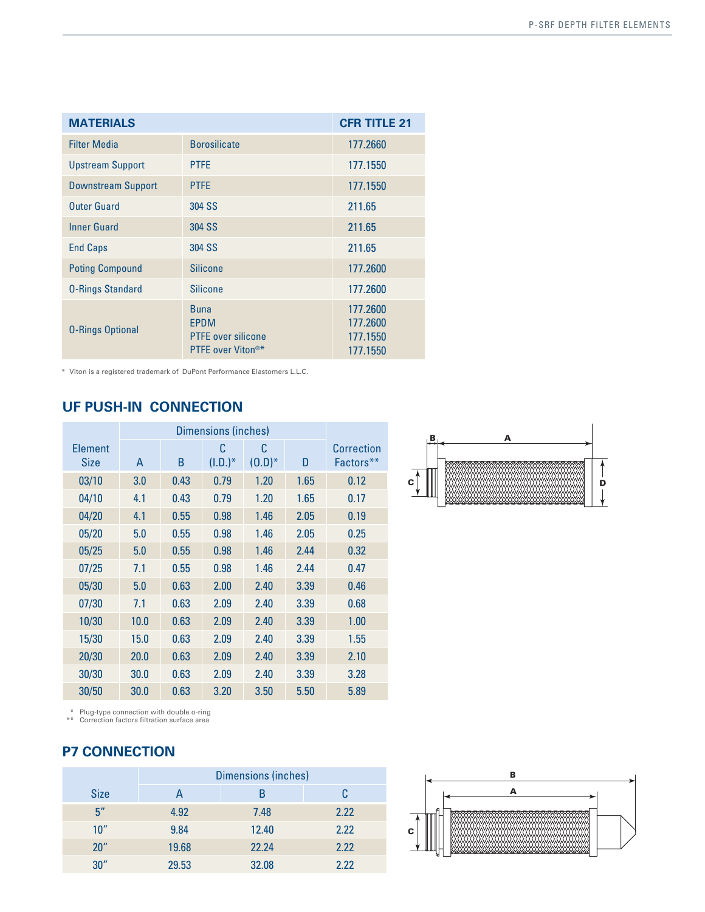| <b>MATERIALS</b>          | <b>CFR TITLE 21</b>                                                          |                                              |
|---------------------------|------------------------------------------------------------------------------|----------------------------------------------|
| <b>Filter Media</b>       | <b>Borosilicate</b>                                                          | 177.2660                                     |
| <b>Upstream Support</b>   | <b>PTFE</b>                                                                  | 177.1550                                     |
| <b>Downstream Support</b> | <b>PTFE</b>                                                                  | 177.1550                                     |
| <b>Outer Guard</b>        | 304 SS                                                                       | 211.65                                       |
| <b>Inner Guard</b>        | 304 SS                                                                       | 211.65                                       |
| <b>End Caps</b>           | 304 SS                                                                       | 211.65                                       |
| <b>Poting Compound</b>    | <b>Silicone</b>                                                              | 177.2600                                     |
| <b>0-Rings Standard</b>   | <b>Silicone</b>                                                              | 177.2600                                     |
| <b>O-Rings Optional</b>   | <b>Buna</b><br><b>EPDM</b><br><b>PTFE</b> over silicone<br>PTFE over Viton®* | 177.2600<br>177.2600<br>177.1550<br>177.1550 |

\* Viton is a registered trademark of DuPont Performance Elastomers L.L.C.

## **UF PUSH-IN CONNECTION**

|                        | <b>Dimensions (inches)</b> |      |                 |                |      |                         |
|------------------------|----------------------------|------|-----------------|----------------|------|-------------------------|
| <b>Element</b><br>Size | A                          | B    | C<br>$(I.D.)^*$ | C<br>$(0.D)^*$ | D    | Correction<br>Factors** |
| 03/10                  | 3.0                        | 0.43 | 0.79            | 1.20           | 1.65 | 0.12                    |
| 04/10                  | 4.1                        | 0.43 | 0.79            | 1.20           | 1.65 | 0.17                    |
| 04/20                  | 4.1                        | 0.55 | 0.98            | 1.46           | 2.05 | 0.19                    |
| 05/20                  | 5.0                        | 0.55 | 0.98            | 1.46           | 2.05 | 0.25                    |
| 05/25                  | 5.0                        | 0.55 | 0.98            | 1.46           | 2.44 | 0.32                    |
| 07/25                  | 7.1                        | 0.55 | 0.98            | 1.46           | 2.44 | 0.47                    |
| 05/30                  | 5.0                        | 0.63 | 2.00            | 2.40           | 3.39 | 0.46                    |
| 07/30                  | 7.1                        | 0.63 | 2.09            | 2.40           | 3.39 | 0.68                    |
| 10/30                  | 10.0                       | 0.63 | 2.09            | 2.40           | 3.39 | 1.00                    |
| 15/30                  | 15.0                       | 0.63 | 2.09            | 2.40           | 3.39 | 1.55                    |
| 20/30                  | 20.0                       | 0.63 | 2.09            | 2.40           | 3.39 | 2.10                    |
| 30/30                  | 30.0                       | 0.63 | 2.09            | 2.40           | 3.39 | 3.28                    |
| 30/50                  | 30.0                       | 0.63 | 3.20            | 3.50           | 5.50 | 5.89                    |



\* Plug-type connection with double o-ring \*\* Correction factors filtration surface area

# **P7 CONNECTION**

|             | Dimensions (inches) |       |      |  |
|-------------|---------------------|-------|------|--|
| <b>Size</b> | А                   | B     | C    |  |
| 5''         | 4.92                | 7.48  | 2.22 |  |
| 10"         | 9.84                | 12.40 | 2.22 |  |
| 20"         | 19.68               | 22.24 | 2.22 |  |
| 30''        | 29.53               | 32.08 | 2.22 |  |

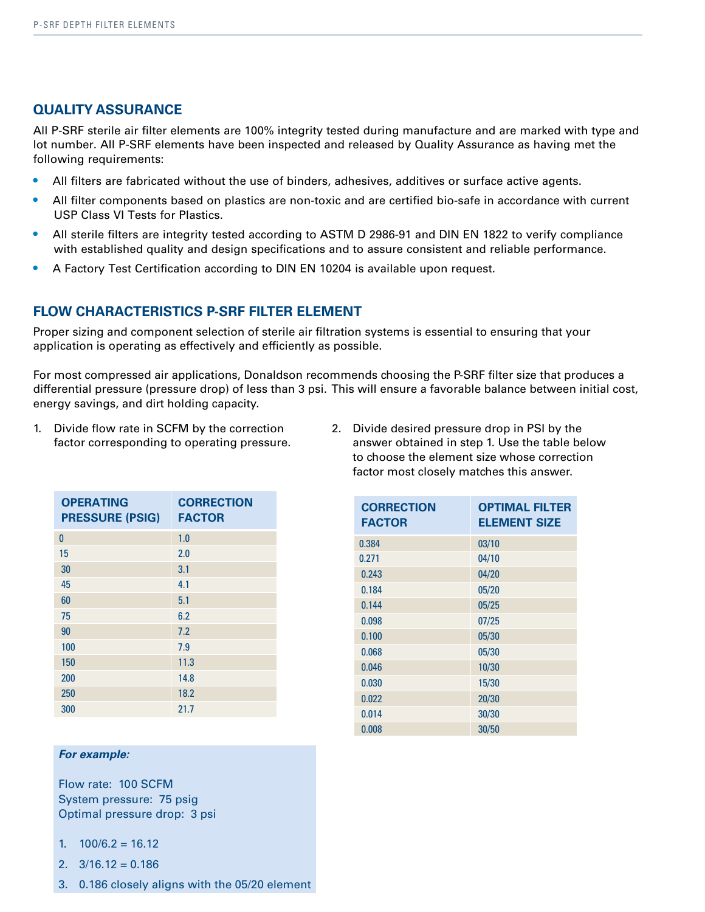#### **QUALITY ASSURANCE**

All P-SRF sterile air filter elements are 100% integrity tested during manufacture and are marked with type and lot number. All P-SRF elements have been inspected and released by Quality Assurance as having met the following requirements:

- All filters are fabricated without the use of binders, adhesives, additives or surface active agents.
- **•** All filter components based on plastics are non-toxic and are certified bio-safe in accordance with current USP Class VI Tests for Plastics.
- **•** All sterile filters are integrity tested according to ASTM D 2986-91 and DIN EN 1822 to verify compliance with established quality and design specifications and to assure consistent and reliable performance.
- **•** A Factory Test Certification according to DIN EN 10204 is available upon request.

#### **FLOW CHARACTERISTICS P-SRF FILTER ELEMENT**

Proper sizing and component selection of sterile air filtration systems is essential to ensuring that your application is operating as effectively and efficiently as possible.

For most compressed air applications, Donaldson recommends choosing the P-SRF filter size that produces a differential pressure (pressure drop) of less than 3 psi. This will ensure a favorable balance between initial cost, energy savings, and dirt holding capacity.

1. Divide flow rate in SCFM by the correction factor corresponding to operating pressure.

| 2. Divide desired pressure drop in PSI by the  |
|------------------------------------------------|
| answer obtained in step 1. Use the table below |
| to choose the element size whose correction    |
| factor most closely matches this answer.       |

| <b>OPERATING</b><br><b>PRESSURE (PSIG)</b> | <b>CORRECTION</b><br><b>FACTOR</b> |
|--------------------------------------------|------------------------------------|
| 0                                          | 1.0                                |
| 15                                         | 2.0                                |
| 30                                         | 3.1                                |
| 45                                         | 4.1                                |
| 60                                         | 5.1                                |
| 75                                         | 6.2                                |
| 90                                         | 7.2                                |
| 100                                        | 7.9                                |
| 150                                        | 11.3                               |
| 200                                        | 14.8                               |
| 250                                        | 18.2                               |
| 300                                        | 21.7                               |

#### **CORRECTION FACTOR OPTIMAL FILTER ELEMENT SIZE** 0.384 03/10 0.271 04/10 0.243 04/20 0.184 05/20 0.144 05/25 0.098 07/25 0.100 05/30 0.068 05/30 0.046 10/30 0.030 15/30 0.022 20/30 0.014 30/30 0.008 30/50

#### *For example:*

Flow rate: 100 SCFM System pressure: 75 psig Optimal pressure drop: 3 psi

- 1.  $100/6.2 = 16.12$
- $2.3/16.12 = 0.186$
- 3. 0.186 closely aligns with the 05/20 element